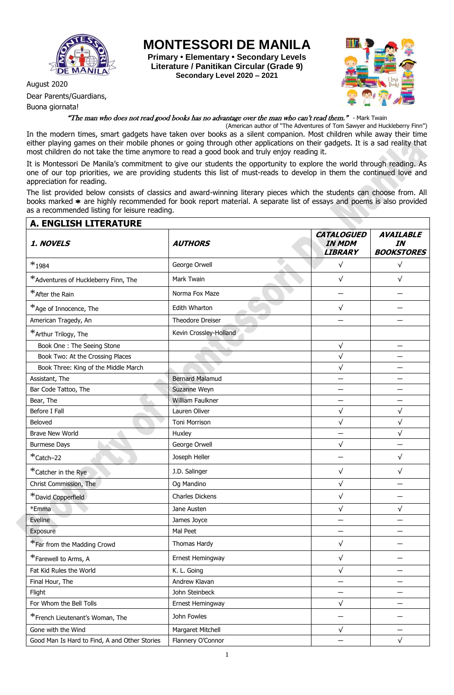

Dear Parents/Guardians,

Buona giornata!

**MONTESSORI DE MANILA**

**Primary • Elementary • Secondary Levels Literature / Panitikan Circular (Grade 9) Secondary Level 2020 – 2021**



"The man who does not read good books has no advantage over the man who can't read them." - Mark Twain

(American author of "The Adventures of Tom Sawyer and Huckleberry Finn") In the modern times, smart gadgets have taken over books as a silent companion. Most children while away their time either playing games on their mobile phones or going through other applications on their gadgets. It is a sad reality that most children do not take the time anymore to read a good book and truly enjoy reading it.

It is Montessori De Manila's commitment to give our students the opportunity to explore the world through reading. As one of our top priorities, we are providing students this list of must-reads to develop in them the continued love and appreciation for reading.

The list provided below consists of classics and award-winning literary pieces which the students can choose from. All books marked \* are highly recommended for book report material. A separate list of essays and poems is also provided as a recommended listing for leisure reading.

| <b>A. ENGLISH LITERATURE</b>                  |                        |                                                      |                                             |
|-----------------------------------------------|------------------------|------------------------------------------------------|---------------------------------------------|
| 1. NOVELS                                     | <b>AUTHORS</b>         | <b>CATALOGUED</b><br><b>IN MDM</b><br><b>LIBRARY</b> | <b>AVAILABLE</b><br>IN<br><b>BOOKSTORES</b> |
| $*_{1984}$                                    | George Orwell          | $\sqrt{}$                                            | $\sqrt{}$                                   |
| *Adventures of Huckleberry Finn, The          | Mark Twain             | $\sqrt{}$                                            | $\sqrt{}$                                   |
| *After the Rain                               | Norma Fox Maze         |                                                      |                                             |
| *Age of Innocence, The                        | Edith Wharton          | $\sqrt{}$                                            |                                             |
| American Tragedy, An                          | Theodore Dreiser       |                                                      |                                             |
| *Arthur Trilogy, The                          | Kevin Crossley-Holland |                                                      |                                             |
| Book One: The Seeing Stone                    |                        | $\sqrt{}$                                            |                                             |
| Book Two: At the Crossing Places              |                        | $\sqrt{}$                                            |                                             |
| Book Three: King of the Middle March          |                        | $\sqrt{}$                                            |                                             |
| Assistant, The                                | <b>Bernard Malamud</b> |                                                      |                                             |
| Bar Code Tattoo, The                          | Suzanne Weyn           |                                                      |                                             |
| Bear, The                                     | William Faulkner       |                                                      |                                             |
| Before I Fall                                 | Lauren Oliver          | $\sqrt{}$                                            | $\sqrt{}$                                   |
| Beloved                                       | <b>Toni Morrison</b>   | $\checkmark$                                         | $\sqrt{}$                                   |
| <b>Brave New World</b>                        | Huxley                 |                                                      | $\sqrt{}$                                   |
| <b>Burmese Days</b>                           | George Orwell          | $\sqrt{}$                                            |                                             |
| *Catch-22                                     | Joseph Heller          |                                                      | $\sqrt{}$                                   |
| *Catcher in the Rye                           | J.D. Salinger          | $\sqrt{}$                                            | $\sqrt{}$                                   |
| Christ Commission, The                        | Og Mandino             | $\sqrt{}$                                            |                                             |
| *David Copperfield                            | Charles Dickens        | $\checkmark$                                         |                                             |
| *Emma                                         | Jane Austen            | $\sqrt{}$                                            | $\sqrt{}$                                   |
| Eveline                                       | James Joyce            |                                                      |                                             |
| Exposure                                      | Mal Peet               |                                                      |                                             |
| *Far from the Madding Crowd                   | Thomas Hardy           | √                                                    |                                             |
| *Farewell to Arms, A                          | Ernest Hemingway       | $\sqrt{}$                                            |                                             |
| Fat Kid Rules the World                       | K. L. Going            | $\checkmark$                                         |                                             |
| Final Hour, The                               | Andrew Klavan          | —                                                    | —                                           |
| Flight                                        | John Steinbeck         | —                                                    |                                             |
| For Whom the Bell Tolls                       | Ernest Hemingway       | $\sqrt{ }$                                           |                                             |
| *French Lieutenant's Woman, The               | John Fowles            | —                                                    |                                             |
| Gone with the Wind                            | Margaret Mitchell      | $\sqrt{ }$                                           |                                             |
| Good Man Is Hard to Find, A and Other Stories | Flannery O'Connor      |                                                      | $\sqrt{}$                                   |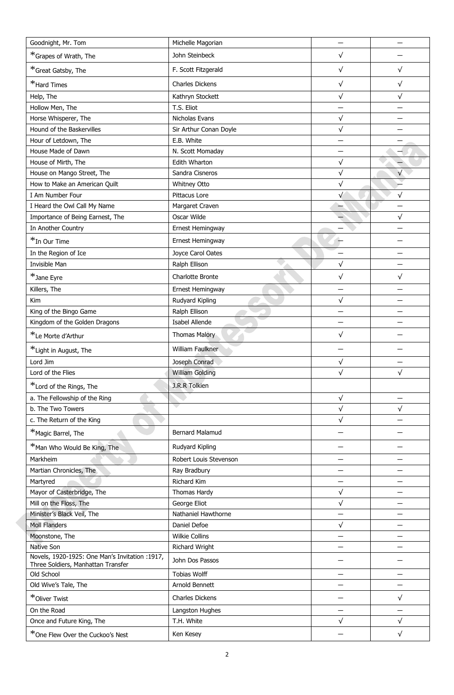|                                                                                      | Michelle Magorian      |            |            |
|--------------------------------------------------------------------------------------|------------------------|------------|------------|
| *Grapes of Wrath, The                                                                | John Steinbeck         | $\sqrt{}$  |            |
| *Great Gatsby, The                                                                   | F. Scott Fitzgerald    | $\sqrt{}$  | $\sqrt{}$  |
| *Hard Times                                                                          | Charles Dickens        | $\sqrt{}$  | $\sqrt{}$  |
| Help, The                                                                            | Kathryn Stockett       | $\sqrt{}$  | $\sqrt{}$  |
| Hollow Men, The                                                                      | T.S. Eliot             |            |            |
| Horse Whisperer, The                                                                 | Nicholas Evans         | $\sqrt{}$  |            |
| Hound of the Baskervilles                                                            | Sir Arthur Conan Doyle | $\sqrt{ }$ |            |
| Hour of Letdown, The                                                                 | E.B. White             |            |            |
| House Made of Dawn                                                                   | N. Scott Momaday       |            |            |
| House of Mirth, The                                                                  | Edith Wharton          | $\sqrt{ }$ |            |
| House on Mango Street, The                                                           | Sandra Cisneros        | $\sqrt{}$  | $\sqrt{}$  |
| How to Make an American Quilt                                                        | Whitney Otto           | $\sqrt{}$  |            |
| I Am Number Four                                                                     | Pittacus Lore          | $\sqrt{}$  | $\sqrt{ }$ |
| I Heard the Owl Call My Name                                                         | Margaret Craven        |            |            |
| Importance of Being Earnest, The                                                     | Oscar Wilde            |            | $\sqrt{}$  |
| In Another Country                                                                   | Ernest Hemingway       |            |            |
| *In Our Time                                                                         | Ernest Hemingway       |            |            |
| In the Region of Ice                                                                 | Joyce Carol Oates      |            |            |
| Invisible Man                                                                        | Ralph Ellison          | $\sqrt{}$  |            |
|                                                                                      |                        |            |            |
| *Jane Eyre                                                                           | Charlotte Bronte       | $\sqrt{}$  | $\sqrt{}$  |
| Killers, The                                                                         | Ernest Hemingway       |            |            |
| Kim                                                                                  | Rudyard Kipling        | $\sqrt{ }$ |            |
| King of the Bingo Game                                                               | Ralph Ellison          |            |            |
| Kingdom of the Golden Dragons                                                        | Isabel Allende         |            |            |
| *Le Morte d'Arthur                                                                   | <b>Thomas Malory</b>   | $\sqrt{}$  |            |
| *Light in August, The                                                                | William Faulkner       |            |            |
| Lord Jim                                                                             | Joseph Conrad          | $\sqrt{}$  |            |
| Lord of the Flies                                                                    | <b>William Golding</b> | $\sqrt{}$  | $\sqrt{}$  |
| *Lord of the Rings, The                                                              | J.R.R Tolkien          |            |            |
| a. The Fellowship of the Ring                                                        |                        | $\sqrt{ }$ |            |
| b. The Two Towers                                                                    |                        | $\sqrt{ }$ | $\sqrt{}$  |
| c. The Return of the King                                                            |                        | $\sqrt{}$  |            |
| *Magic Barrel, The                                                                   | <b>Bernard Malamud</b> |            |            |
| *Man Who Would Be King, The                                                          | Rudyard Kipling        |            |            |
| Markheim                                                                             | Robert Louis Stevenson |            |            |
| Martian Chronicles, The                                                              | Ray Bradbury           |            |            |
| Martyred                                                                             | Richard Kim            |            |            |
| Mayor of Casterbridge, The                                                           | Thomas Hardy           | $\sqrt{}$  |            |
| Mill on the Floss, The                                                               | George Eliot           | $\sqrt{ }$ |            |
| Minister's Black Veil, The                                                           | Nathaniel Hawthorne    | —          |            |
| <b>Moll Flanders</b>                                                                 | Daniel Defoe           | $\sqrt{ }$ |            |
| Moonstone, The                                                                       | <b>Wilkie Collins</b>  |            |            |
| <b>Native Son</b>                                                                    | <b>Richard Wright</b>  |            |            |
| Novels, 1920-1925: One Man's Invitation :1917,<br>Three Soldiers, Manhattan Transfer | John Dos Passos        |            |            |
| Old School                                                                           | <b>Tobias Wolff</b>    |            |            |
| Old Wive's Tale, The                                                                 | Arnold Bennett         |            |            |
| *Oliver Twist                                                                        | Charles Dickens        |            | $\sqrt{}$  |
| On the Road                                                                          | Langston Hughes        |            |            |
| Once and Future King, The                                                            | T.H. White             | $\sqrt{ }$ | $\sqrt{ }$ |
| *One Flew Over the Cuckoo's Nest                                                     | Ken Kesey              |            | $\sqrt{ }$ |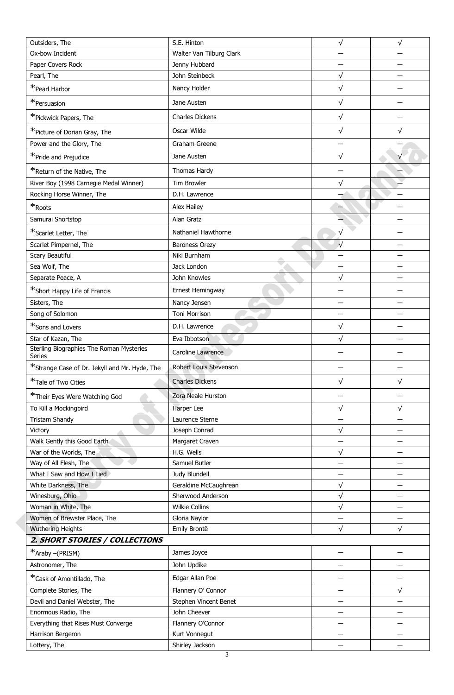| Outsiders, The                                     | S.E. Hinton              | $\sqrt{}$  | $\sqrt{}$ |
|----------------------------------------------------|--------------------------|------------|-----------|
| Ox-bow Incident                                    | Walter Van Tilburg Clark |            |           |
| Paper Covers Rock                                  | Jenny Hubbard            |            |           |
| Pearl, The                                         | John Steinbeck           | $\sqrt{}$  |           |
| *Pearl Harbor                                      | Nancy Holder             | $\sqrt{}$  |           |
| *Persuasion                                        | Jane Austen              | $\sqrt{}$  |           |
| *Pickwick Papers, The                              | <b>Charles Dickens</b>   | $\sqrt{}$  |           |
| *Picture of Dorian Gray, The                       | Oscar Wilde              | $\sqrt{}$  | $\sqrt{}$ |
| Power and the Glory, The                           | Graham Greene            |            |           |
| *Pride and Prejudice                               | Jane Austen              | $\sqrt{}$  |           |
| *Return of the Native, The                         | Thomas Hardy             |            |           |
| River Boy (1998 Carnegie Medal Winner)             | Tim Browler              | $\sqrt{}$  |           |
| Rocking Horse Winner, The                          | D.H. Lawrence            |            |           |
| $\ast_{\text{Roots}}$                              | Alex Hailey              |            |           |
| Samurai Shortstop                                  | Alan Gratz               |            |           |
| *Scarlet Letter, The                               | Nathaniel Hawthorne      | $\sqrt{}$  |           |
|                                                    |                          | $\sqrt{ }$ |           |
| Scarlet Pimpernel, The                             | <b>Baroness Orezy</b>    |            |           |
| Scary Beautiful                                    | Niki Burnham             |            |           |
| Sea Wolf, The                                      | Jack London              | $\sqrt{}$  |           |
| Separate Peace, A                                  | John Knowles             |            |           |
| *Short Happy Life of Francis                       | Ernest Hemingway         |            |           |
| Sisters, The                                       | Nancy Jensen             |            |           |
| Song of Solomon                                    | Toni Morrison            |            |           |
| *Sons and Lovers                                   | D.H. Lawrence            | $\sqrt{}$  |           |
| Star of Kazan, The                                 | Eva Ibbotson             | $\sqrt{}$  |           |
| Sterling Biographies The Roman Mysteries<br>Series | Caroline Lawrence        |            |           |
| *Strange Case of Dr. Jekyll and Mr. Hyde, The      | Robert Louis Stevenson   |            |           |
| *Tale of Two Cities                                | <b>Charles Dickens</b>   | $\sqrt{}$  | $\sqrt{}$ |
| *Their Eyes Were Watching God                      | Zora Neale Hurston       |            |           |
| To Kill a Mockingbird                              | Harper Lee               | $\sqrt{}$  | $\sqrt{}$ |
| <b>Tristam Shandy</b>                              | Laurence Sterne          |            |           |
| Victory                                            | Joseph Conrad            | $\sqrt{}$  |           |
| Walk Gently this Good Earth                        | Margaret Craven          |            |           |
| War of the Worlds, The                             | H.G. Wells               | $\sqrt{}$  |           |
| Way of All Flesh, The                              | Samuel Butler            |            |           |
| What I Saw and How I Lied                          | Judy Blundell            |            |           |
| White Darkness, The                                | Geraldine McCaughrean    | $\sqrt{}$  |           |
| Winesburg, Ohio                                    | Sherwood Anderson        | $\sqrt{}$  |           |
| Woman in White, The                                | <b>Wilkie Collins</b>    | $\sqrt{}$  |           |
| Women of Brewster Place, The                       | Gloria Naylor            |            |           |
| <b>Wuthering Heights</b>                           | Emily Brontë             | $\sqrt{}$  | $\sqrt{}$ |
| 2. SHORT STORIES / COLLECTIONS                     |                          |            |           |
| *Araby -(PRISM)                                    | James Joyce              |            |           |
| Astronomer, The                                    | John Updike              |            |           |
| *Cask of Amontillado, The                          | Edgar Allan Poe          |            |           |
| Complete Stories, The                              | Flannery O' Connor       |            | √         |
| Devil and Daniel Webster, The                      | Stephen Vincent Benet    |            |           |
| Enormous Radio, The                                | John Cheever             |            |           |
| Everything that Rises Must Converge                | Flannery O'Connor        |            |           |
| Harrison Bergeron                                  | Kurt Vonnegut            |            |           |
| Lottery, The                                       | Shirley Jackson          |            |           |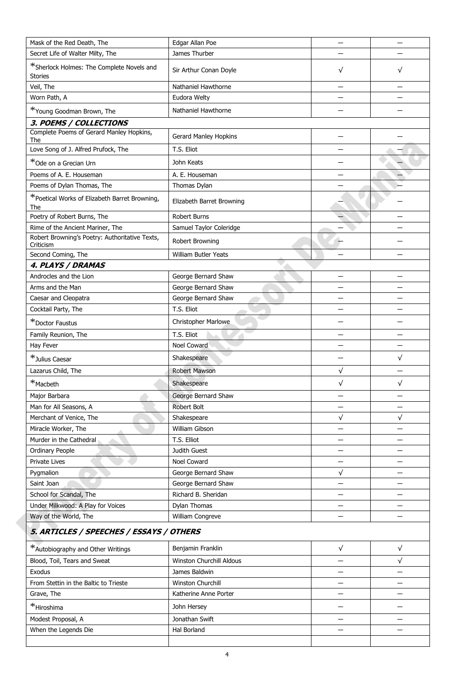| Mask of the Red Death, The                                  | Edgar Allan Poe           |           |                          |
|-------------------------------------------------------------|---------------------------|-----------|--------------------------|
| Secret Life of Walter Milty, The                            | James Thurber             |           |                          |
| *Sherlock Holmes: The Complete Novels and<br><b>Stories</b> | Sir Arthur Conan Doyle    | $\sqrt{}$ | √                        |
| Veil, The                                                   | Nathaniel Hawthorne       |           |                          |
| Worn Path, A                                                | Eudora Welty              |           |                          |
| *Young Goodman Brown, The                                   | Nathaniel Hawthorne       |           |                          |
| 3. POEMS / COLLECTIONS                                      |                           |           |                          |
| Complete Poems of Gerard Manley Hopkins,<br>The             | Gerard Manley Hopkins     |           |                          |
| Love Song of J. Alfred Prufock, The                         | T.S. Eliot                |           |                          |
| *Ode on a Grecian Urn                                       | John Keats                |           |                          |
| Poems of A. E. Houseman                                     | A. E. Houseman            |           |                          |
| Poems of Dylan Thomas, The                                  | Thomas Dylan              |           |                          |
| *Poetical Works of Elizabeth Barret Browning,<br>The        | Elizabeth Barret Browning |           |                          |
| Poetry of Robert Burns, The                                 | <b>Robert Burns</b>       |           |                          |
| Rime of the Ancient Mariner, The                            | Samuel Taylor Coleridge   |           |                          |
| Robert Browning's Poetry: Authoritative Texts,<br>Criticism | Robert Browning           |           |                          |
| Second Coming, The                                          | William Butler Yeats      |           |                          |
| 4. PLAYS / DRAMAS                                           |                           |           |                          |
| Androcles and the Lion                                      | George Bernard Shaw       |           |                          |
| Arms and the Man                                            | George Bernard Shaw       |           |                          |
| Caesar and Cleopatra                                        | George Bernard Shaw       |           |                          |
| Cocktail Party, The                                         | T.S. Eliot                |           |                          |
| *Doctor Faustus                                             | Christopher Marlowe       |           |                          |
| Family Reunion, The                                         | T.S. Eliot                |           |                          |
| Hay Fever                                                   | Noel Coward               |           |                          |
| *Julius Caesar                                              | Shakespeare               |           | $\sqrt{}$                |
| Lazarus Child, The                                          | <b>Robert Mawson</b>      | $\sqrt{}$ |                          |
| *Macbeth                                                    | Shakespeare               | $\sqrt{}$ | $\sqrt{}$                |
| Major Barbara                                               | George Bernard Shaw       |           |                          |
| Man for All Seasons, A                                      | <b>Robert Bolt</b>        |           | $\overline{\phantom{0}}$ |
| Merchant of Venice, The                                     | Shakespeare               | $\sqrt{}$ | $\sqrt{}$                |
| Miracle Worker, The                                         | William Gibson            |           |                          |
| Murder in the Cathedral                                     | T.S. Elliot               |           |                          |
| Ordinary People                                             | Judith Guest              |           |                          |
| Private Lives                                               | Noel Coward               |           |                          |
| Pygmalion                                                   | George Bernard Shaw       | $\sqrt{}$ |                          |
| Saint Joan                                                  | George Bernard Shaw       |           |                          |
| School for Scandal, The                                     | Richard B. Sheridan       |           |                          |
| Under Milkwood: A Play for Voices                           | Dylan Thomas              |           |                          |
| Way of the World, The                                       | William Congreve          |           |                          |
| 5. ARTICLES / SPEECHES / ESSAYS / OTHERS                    |                           |           |                          |
| *Autobiography and Other Writings                           | Benjamin Franklin         | $\sqrt{}$ | $\sqrt{}$                |
| Blood, Toil, Tears and Sweat                                | Winston Churchill Aldous  |           | $\sqrt{}$                |
| Exodus                                                      | James Baldwin             |           |                          |
| From Stettin in the Baltic to Trieste                       | Winston Churchill         |           |                          |
| Grave, The                                                  | Katherine Anne Porter     |           |                          |
| *Hiroshima                                                  | John Hersey               |           |                          |
| Modest Proposal, A                                          | Jonathan Swift            |           |                          |
| When the Legends Die                                        | Hal Borland               |           |                          |
|                                                             |                           |           |                          |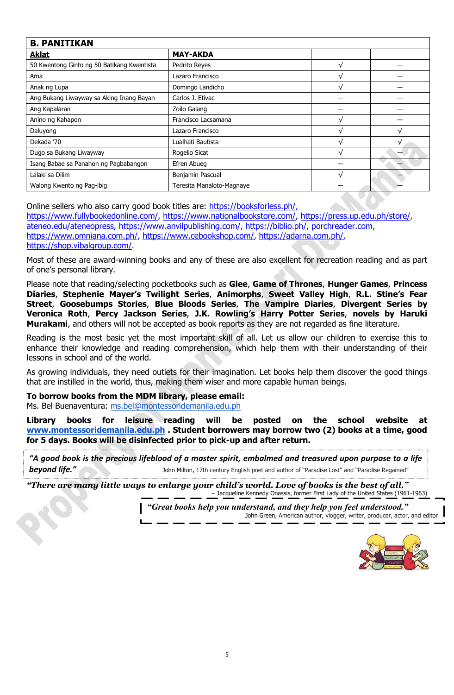| <b>B. PANITIKAN</b>                        |                           |              |  |
|--------------------------------------------|---------------------------|--------------|--|
| <b>Aklat</b>                               | <b>MAY-AKDA</b>           |              |  |
| 50 Kwentong Ginto ng 50 Batikang Kwentista | Pedrito Reyes             | v            |  |
| Ama                                        | Lazaro Francisco          | ٦            |  |
| Anak ng Lupa                               | Domingo Landicho          | V            |  |
| Ang Bukang Liwayway sa Aking Inang Bayan   | Carlos J. Etivac          |              |  |
| Ang Kapalaran                              | Zoilo Galang              |              |  |
| Anino ng Kahapon                           | Francisco Lacsamana       |              |  |
| Daluyong                                   | Lazaro Francisco          |              |  |
| Dekada '70                                 | Lualhati Bautista         | $\mathbf{v}$ |  |
| Dugo sa Bukang Liwayway                    | Rogelio Sicat             | $\mathbf{v}$ |  |
| Isang Babae sa Panahon ng Pagbabangon      | Efren Abueg               |              |  |
| Lalaki sa Dilim                            | Benjamin Pascual          | V            |  |
| Walong Kwento ng Pag-ibig                  | Teresita Manaloto-Magnaye |              |  |

Online sellers who also carry good book titles are: [https://booksforless.ph/,](https://booksforless.ph/) [https://www.fullybookedonline.com/,](https://www.fullybookedonline.com/) [https://www.nationalbookstore.com/,](https://www.nationalbookstore.com/) [https://press.up.edu.ph/store/,](https://press.up.edu.ph/store/) [ateneo.edu/ateneopress,](http://ateneo.edu/ateneopress) [https://www.anvilpublishing.com/,](https://www.anvilpublishing.com/) [https://biblio.ph/,](https://biblio.ph/) [porchreader.com,](http://porchreader.com/) [https://www.omniana.com.ph/,](https://www.omniana.com.ph/) [https://www.cebookshop.com/,](https://www.cebookshop.com/) [https://adarna.com.ph/,](https://adarna.com.ph/) [https://shop.vibalgroup.com/.](https://shop.vibalgroup.com/)

Most of these are award-winning books and any of these are also excellent for recreation reading and as part of one's personal library.

Please note that reading/selecting pocketbooks such as **Glee**, **Game of Thrones**, **Hunger Games**, **Princess Diaries**, **Stephenie Mayer's Twilight Series**, **Animorphs**, **Sweet Valley High**, **R.L. Stine's Fear Street**, **Goosebumps Stories**, **Blue Bloods Series**, **The Vampire Diaries**, **Divergent Series by Veronica Roth**, **Percy Jackson Series**, **J.K. Rowling's Harry Potter Series**, **novels by Haruki Murakami**, and others will not be accepted as book reports as they are not regarded as fine literature.

Reading is the most basic yet the most important skill of all. Let us allow our children to exercise this to enhance their knowledge and reading comprehension, which help them with their understanding of their lessons in school and of the world.

As growing individuals, they need outlets for their imagination. Let books help them discover the good things that are instilled in the world, thus, making them wiser and more capable human beings.

**To borrow books from the MDM library, please email:**

Ms. Bel Buenaventura: [ms.bel@montessoridemanila.edu.ph](mailto:ms.lhen@montessoridemanila.edu.ph)

**Library books for leisure reading will be posted on the school website at [www.montessoridemanila.edu.ph](http://www.montessoridemanila.edu.ph/) . Student borrowers may borrow two (2) books at a time, good for 5 days. Books will be disinfected prior to pick-up and after return.**

*"A good book is the precious lifeblood of a master spirit, embalmed and treasured upon purpose to a life*  **beyond life."** John Milton, 17th century English poet and author of "Paradise Lost" and "Paradise Regained"

*"There are many little ways to enlarge your child's world. Love of books is the best of all."* – Jacqueline Kennedy Onassis, former First Lady of the United States (1961-1963)

> *"Great books help you understand, and they help you feel understood."* John Green, American author, vlogger, writer, producer, actor, and editor